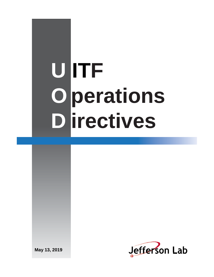# **U ITF O perations D irectives**

**May 13, 2019**

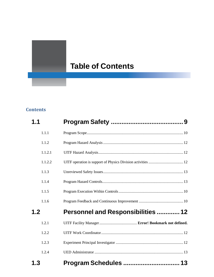## **Table of Contents**

### **Contents**

| 1.1     |                                           |  |
|---------|-------------------------------------------|--|
| 1.1.1   |                                           |  |
| 1.1.2   |                                           |  |
| 1.1.2.1 |                                           |  |
| 1.1.2.2 |                                           |  |
| 1.1.3   |                                           |  |
| 1.1.4   |                                           |  |
| 1.1.5   |                                           |  |
| 1.1.6   |                                           |  |
| 1.2     | <b>Personnel and Responsibilities  12</b> |  |
| 1.2.1   |                                           |  |
| 1.2.2   |                                           |  |
| 1.2.3   |                                           |  |
| 1.2.4   |                                           |  |
| 1.3     |                                           |  |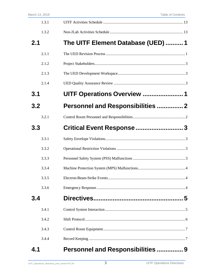| 1.3.1 |                                          |  |
|-------|------------------------------------------|--|
| 1.3.2 |                                          |  |
| 2.1   | The UITF Element Database (UED)  1       |  |
| 2.1.1 |                                          |  |
| 2.1.2 |                                          |  |
| 2.1.3 |                                          |  |
| 2.1.4 |                                          |  |
| 3.1   | UITF Operations Overview 1               |  |
| 3.2   | <b>Personnel and Responsibilities  2</b> |  |
| 3.2.1 |                                          |  |
| 3.3   |                                          |  |
| 3.3.1 |                                          |  |
| 3.3.2 |                                          |  |
| 3.3.3 |                                          |  |
| 3.3.4 |                                          |  |
| 3.3.5 |                                          |  |
| 3.3.6 |                                          |  |
| 3.4   |                                          |  |
| 3.4.1 |                                          |  |
| 3.4.2 |                                          |  |
| 3.4.3 |                                          |  |
| 3.4.4 |                                          |  |
| 4.1   | Personnel and Responsibilities  9        |  |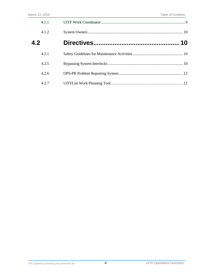| 4.1.1 |    |
|-------|----|
| 4.1.2 |    |
| 4.2   | 10 |
| 4.2.1 |    |
| 4.2.5 |    |
| 4.2.6 |    |
| 4.2.7 |    |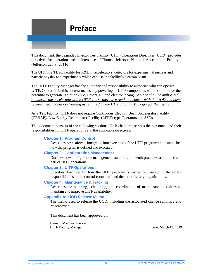

This document, the Upgraded Injector Test Facility (UITF) Operations Directives (UOD), provides directives for operation and maintenance of Thomas Jefferson National Accelerator Facility's (Jefferson Lab's) UITF.

The UITF is a **TEST** facility for R&D in accelerators, detectors for experimental nuclear and particle physics and experiments which can use the facility's electron beam.

The UITF Facility Manager has the authority and responsibility to authorize who can operate UITF. Operation in this context means any powering of UITF components which can or have the potential to generate radiation (HV, Lasers, RF and electron beam). *No one shall be authorized to operate the accelerator at the UITF unless they have read and concur with the UOD and have received such hands-on training as required by the UITF Facility Manager for their activity.*

As a Test Facility, UITF does not require Continuous Electron Beam Accelerator Facility (CEBAF)/ Low Energy Recirculator Facility (LERF) type Operators and SSOs.

This document consists of the following sections. Each chapter describes the personnel and their responsibilities for UITF operations and the applicable directives.

#### **Chapter 1: [Program](#page-8-1) Control**

Describes how safety is integrated into execution of the UITF program and establishes how the program is defined and executed.

#### **Chapter 2: [Configuration](#page-19-2) Management**

Outlines how configuration management standards and work practices are applied as part of UITF operations.

#### **Chapter 3: UITF Operations**

Specifies directives for how the UITF program is carried out, including the safety responsibilities of the control room staff and the role of safety organizations.

#### **Chapter 4: [Maintenance](#page-30-2) & Tracking**

Describes the planning, scheduling, and coordinating of maintenance activities to maintain and improve UITF availability.

#### **Appendix A: UOD [Release](#page-34-0) Memo**

The memo used to release the UOD, including the associated change summary and review cycle.

This document has been approved by:

Bernard Matthew Poelker UITF Facility Manager Date: March 13, 2019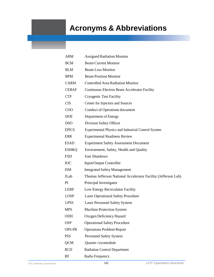## **Acronyms & Abbreviations**

| <b>ARM</b>    | <b>Assigned Radiation Monitor</b>                              |
|---------------|----------------------------------------------------------------|
| <b>BCM</b>    | <b>Beam Current Monitor</b>                                    |
| <b>BLM</b>    | <b>Beam Loss Monitor</b>                                       |
| <b>BPM</b>    | <b>Beam Position Monitor</b>                                   |
| <b>CARM</b>   | <b>Controlled Area Radiation Monitor</b>                       |
| <b>CEBAF</b>  | Continuous Electron Beam Accelerator Facility                  |
| <b>CTF</b>    | <b>Cryogenic Test Facility</b>                                 |
| <b>CIS</b>    | Center for Injectors and Sources                               |
| COO           | Conduct of Operations document                                 |
| <b>DOE</b>    | Department of Energy                                           |
| <b>DSO</b>    | Division Safety Officer                                        |
| <b>EPICS</b>  | Experimental Physics and Industrial Control System             |
| <b>ERR</b>    | <b>Experimental Readiness Review</b>                           |
| <b>ESAD</b>   | <b>Experiment Safety Assessment Document</b>                   |
| ESH&Q         | Environment, Safety, Health and Quality                        |
| <b>FSD</b>    | <b>Fast Shutdown</b>                                           |
| IOC           | Input/Output Controller                                        |
| <b>ISM</b>    | <b>Integrated Safety Management</b>                            |
| JLab          | Thomas Jefferson National Accelerator Facility (Jefferson Lab) |
| PI.           | Principal Investigator                                         |
| <b>LERF</b>   | Low Energy Recirculator Facility                               |
| <b>LOSP</b>   | <b>Laser Operational Safety Procedure</b>                      |
| <b>LPSS</b>   | <b>Laser Personnel Safety System</b>                           |
| <b>MPS</b>    | <b>Machine Protection System</b>                               |
| <b>ODH</b>    | Oxygen Deficiency Hazard                                       |
| <b>OSP</b>    | <b>Operational Safety Procedure</b>                            |
| <b>OPS-PR</b> | <b>Operations Problem Report</b>                               |
| <b>PSS</b>    | Personnel Safety System                                        |
| <b>QCM</b>    | Quarter cryomodule                                             |
| <b>RCD</b>    | <b>Radiation Control Department</b>                            |
| RF            | Radio Frequency                                                |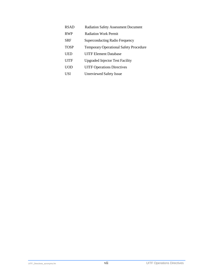| <b>RSAD</b> | <b>Radiation Safety Assessment Document</b>   |
|-------------|-----------------------------------------------|
| <b>RWP</b>  | <b>Radiation Work Permit</b>                  |
| <b>SRF</b>  | Superconducting Radio Frequency               |
| <b>TOSP</b> | <b>Temporary Operational Safety Procedure</b> |
| UED         | <b>UITF Element Database</b>                  |
| UITF        | <b>Upgraded Injector Test Facility</b>        |
| UOD         | <b>UITF Operations Directives</b>             |
| USI         | <b>Unreviewed Safety Issue</b>                |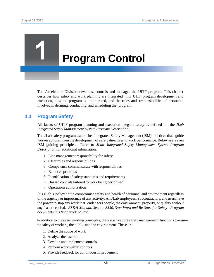## <span id="page-8-1"></span>**Program Control**

The Accelerator Division develops, controls and manages the UITF program. This chapter describes how safety and work planning are integrated into UITF program development and execution, how the program is authorized, and the roles and responsibilities of personnel involved in defining, conducting, and scheduling the program.

#### <span id="page-8-0"></span>**1.1 Program Safety**

All facets of UITF program planning and execution integrate safety as defined in the *JLab Integrated Safety Management System Program Description*.

The JLab safety program establishes Integrated Safety Management (ISM) practices that guide worker actions, from the development of safety directives to work performance. Below are seven ISM guiding principles. Refer to *JLab Integrated Safety Management System Program Description* for additional information.

- 1. Line management responsibility for safety
- 2. Clear roles and responsibilities
- 3. Competence commensurate with responsibilities
- 4. Balanced priorities
- 5. Identification of safety standards and requirements
- 6. Hazard controls tailored to work being performed
- 7. Operations authorization

It isJLab's policy not to compromise safety and health of personnel and environment regardless of the urgency or importance of any activity. AllJLab employees, subcontractors, and users have the power to stop any work that endangers people, the environment, property, or quality without any fear of reprisal. *ES&H Manual, Section 3330, Stop-Work and Re-Start for Safety Program*  documents this 'stop work policy'*.*

In addition to the seven guiding principles, there are five core safety management functionsto ensure the safety of workers, the public and the environment. These are:

- 1. Define the scope of work
- 2. Analyze the hazards
- 3. Develop and implement controls
- 4. Perform work within controls
- 5. Provide feedback for continuousimprovement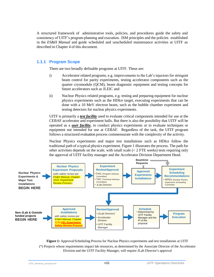A structured framework of administrative tools, policies, and procedures guide the safety and consistency of UITF's program planning and execution. ISM principles and the policies established in the *ES&H Manual* and guide scheduled and unscheduled maintenance activities at UITF as described in [Chapter](#page-30-3) 4 of this document.

#### <span id="page-9-0"></span>**1.1.1 Program Scope**

There are two broadly definable programs at UITF. These are:

- i) Accelerator related programs, e.g. improvements to the Lab's injectors for stringent beam control for parity experiments, testing accelerator components such as the quarter cryomodule (QCM), beam diagnostic equipment and testing concepts for future accelerators such as JLEIC and
- ii) Nuclear Physics related programs, e.g. testing and preparing equipment for nuclear physics experiments such as the HDIce target, executing experiments that can be done with a 10 MeV electron beam, such as the bubble chamber experiment and testing detectors for nuclear physics experiments.

UITF is primarily a *test facility* used to evaluate critical components intended for use at the CEBAF accelerator and experiment halls. But there is also the possibility that UITF will be operated as a *user facility*, to conduct physics experiments or to evaluate techniques or equipment not intended for use at CEBAF. Regardless of the task, the UITF program follows a structured evaluation process commensurate with the complexity of the activity.

Nuclear Physics experiments and major test installations such as HDIce follow the traditional path of a typical physics experiment. Figure 1 illustrates the process. The path for other activities depends on the scale, with small scale  $( $2$  FTE weeks) tests requiring only$ the approval of UITF facility manager and the Accelerator Division Department Head.



**Figure 1:** Approval/Scheduling Process for Nuclear Physics experiments and test installations at UITF (\*) Projects whose requirements impact lab resources, as determined by the Associate Director of the Accelerator Division and the UITF Facility Manager, will require JLab Director's approval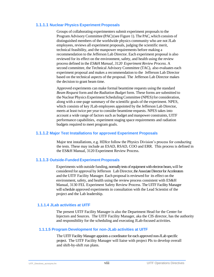#### **1.1.1.1 Nuclear Physics Experiment Proposals**

Groups of collaborating experimenters submit experiment proposals to the Program Advisory Committee (PAC)(see Figure 1). The PAC,which consists of distinguished members of the worldwide physics community who are not JLab employees, reviews all experiment proposals, judging the scientific merit, technical feasibility, and the manpower requirements before making a recommendation to the Jefferson Lab Director. Each experiment proposal is also reviewed for its effect on the environment, safety, and health using the review process defined in the *ES&H Manual, 3120 Experiment Review Process*. A second committee, the Technical Advisory Committee (TAC), also evaluates each experiment proposal and makes a recommendation to the Jefferson Lab Director based on the technical aspects of the proposal. The Jefferson Lab Director makes the decision to grant beam time.

Approved experiments can make formal beamtime requests using the standard *Beam Request* form and the *Radiation Budget* form. These forms are submitted to the Nuclear Physics Experiment Scheduling Committee (NPES) for consideration, along with a one-page summary of the scientific goals of the experiment. NPES, which consists of key JLab employees appointed by the Jefferson Lab Director, meets at least twice per year to consider beamtime requests. NPES takes into account a wide range of factors such as budget and manpower constraints, UITF performance capabilities, experiment staging space requirements and radiation budgets required to meet program goals.

#### **1.1.1.2 Major Test Installations for approved Experiment Proposals**

Major test installations, e.g. HDIce follow the Physics Division's process for conducting the tests. These may include an ESAD, RSAD, COO and ERR. This process is defined in the ES&H Manual, 3120 Experiment Review Process.

#### **1.1.1.3 Outside-Funded Experiment Proposals**

Experiments with outside funding, normally tests of equipment with electron beam, will be considered for approval by Jefferson Lab Director, the Associate Director for Accelerators and the UITF Facility Manager. Each proposal is reviewed for its effect on the environment, safety, and health using the review process consistent with ES&H Manual, 3130 [FEL Experiment Safety Review Process.](http://www.jlab.org/ehs/ehsmanual/manual/3130.html) The UITF Facility Manager will schedule approved experiments in consultation with the Lead Scientist of the project and the Lab leadership.

#### **1.1.1.4 JLab activities at UITF**

The present UITF Facility Manager is also the Department Head for the Center for Injectors and Sources. The UITF Facility Manager, aka the CIS director, has the authority and responsibility for the scheduling and executing JLab-focused activities.

#### **1.1.1.5 Program Development for non-JLab activities at UITF**

The UITF Facility Manager appoints a coordinator for each approved non-JLab specific project. The UITF Facility Manager will liaise with project PIs to develop overall and shift-by-shift run plans.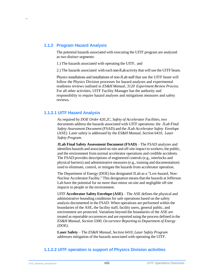#### <span id="page-11-0"></span>**1.1.2 Program Hazard Analysis**

"

The potential hazards associated with executing the UITF program are analyzed as two distinct segments:

1.) The hazards associated with operating the UITF, and

2.) The hazards associated with each non-JLab activity that will use the UITF beam.

Physics installations and installations of non-JLab staff that use the UITF beam will follow the Physics Division processes for hazard analyses and experimental readiness reviews outlined in *ES&H Manual, 3120 Experiment Review Process*. For all other activities, UITF Facility Manager has the authority and responsibility to require hazard analyses and mitigations measures and safety reviews.

#### <span id="page-11-1"></span>**1.1.2.1 UITF Hazard Analysis**

As required by *DOE Order 420.2C, Safety of Accelerator Facilities,* two documents address the hazards associated with UITF operations: the *JLab Final Safety Assessment Document* (FSAD) and the *JLab Accelerator Safety Envelope* (ASE). Laser safety is addressed by the *ES&H Manual, Section 6410, Laser Safety Program.*

**JLab Final Safety Assessment Document (FSAD)** – The FSAD analyzes and identifies hazards and associated on-site and off-site impact to workers, the public, and the environment from normal accelerator operations and credible accidents. The FSAD provides descriptions of engineered controls (e.g., interlocks and physical barriers) and administrative measures (e.g., training and documentation) used to eliminate, control, or mitigate the hazards from accelerator operation.

The Department of Energy (DOE) has designated JLab as a "Low-hazard, Non-Nuclear Accelerator Facility." This designation meansthat the hazards atJefferson Lab have the potential for no more than minor on-site and negligible off-site impacts to people or the environment.

UITF **Accelerator Safety Envelope (ASE)** – The ASE defines the physical and administrative bounding conditions for safe operations based on the safety analysis documented in the FSAD. When operations are performed within the boundaries of the ASE, the facility staff, facility users, general public, and environment are protected. Variations beyond the boundaries of the ASE are treated as reportable occurrences and are reported using the process defined in the *ES&H Manual, Section 5300, Occurrence Reporting to Department of Energy (DOE)*.

**Laser Safety** – The *ES&H Manual, Section 6410, Laser Safety Program* addresses mitigation of the hazards associated with operating the UITF.

#### <span id="page-11-2"></span>**1.1.2.2 UITF operation is support of Physics Division activities**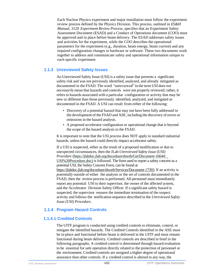Each Nuclear Physics experiment and major installation must follow the experiment review process defined by the Physics Division. This process, outlined in *ES&H Manual, 3120 Experiment Review Process*, specifies that an Experiment Safety Assessment Document (ESAD) and a Conduct of Operations document (COO) must be approved and in place before beam delivery. The ESAD addresses safety issues and activities for the experiment, while the COO describes the operational parameters for the experiment (e.g., duration, beam energy, beam current) and any required configuration changes to hardware or software. These two documents work together to address and communicate safety and operational information unique to each specific experiment

#### <span id="page-12-0"></span>**1.1.3 Unreviewed Safety Issues**

An Unreviewed Safety Issue (USI) is a safety issue that presents a significant safety risk and was not previously identified, analyzed, and already mitigated as documented in the FSAD. The word "unreviewed" in the term USI does *not necessarily* mean that hazards and controls were not properly reviewed; rather, it refersto hazards associated with a particular configuration or activity that may be new or different than those previously identified, analyzed, and mitigated as documented in the FSAD. A USI can result from either of the following:

- Discovery of a potential hazard that may not have been fully addressed in the development of the FSAD and ASE, including the discovery of errors or omissions in the hazard analysis.
- A proposed accelerator configuration or operational change that is beyond the scope of the hazard analysis in the FSAD.

It is important to note that the USI process does NOT apply to standard industrial hazards, unless the hazard could directly impact accelerator safety.

If a USI is suspected, either as the result of a proposed modification or due to unexpected circumstances, then the JLab *Unreviewed Safety Issue (USI) Procedure* (h[ttps://jlabdoc.jlab.org/docushare/dsweb/Get/Document-16644/](https://jlabdoc.jlab.org/docushare/dsweb/Get/Document-16644/USI%20Procedure.doc) [USI%20Procedure.doc\)](https://jlabdoc.jlab.org/docushare/dsweb/Get/Document-16644/USI%20Procedure.doc) is followed. The form used to report a safety concern as a potential USI, the Safety Concern Form, can be found at [https://jlabdoc.jlab.org/docushare/dsweb/Services/Document-17393.](https://jlabdoc.jlab.org/docushare/dsweb/Services/Document-17393) If an activity is *potentially* outside of either the analysis or the set of controls documented in the FSAD, then the review process is performed. All personnel must immediately report any potential USI to their supervisor, the owner of the affected system, and the Accelerator Division Safety Officer. If a significant safety hazard is suspected, the supervisor ensures the immediate termination of the suspect activity and follows the notification sequence described in the *Unreviewed Safety Issue (USI) Procedure*.

#### <span id="page-12-1"></span>**1.1.4 Program Hazard Controls**

#### **1.1.4.1 Credited Controls**

The UITF program is conducted using credited controls to eliminate, control, or mitigate the identified hazards. The Credited Controls identified in the ASE must be in-place and functional before beam is delivered in the UITF and must remain functional during beam delivery. Credited controls are described in brief in the following paragraphs. A credited control is determined through hazard evaluation to be essential for safe operation directly related to the protection of personnel or the environment. Credited controls are assigned a higher degree of operational assurance than other controls. If a credited control is altered in any way, the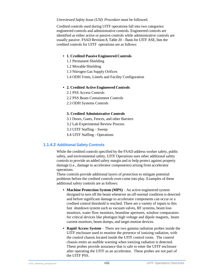#### *Unreviewed Safety Issue (USI) Procedure* must be followed.

Credited controls used during UITF operations fall into two categories: engineered controls and administrative controls. Engineered controls are identified as either active or passive controls while administrative controls are usually passive. FSAD Revision 8, Table 20 – Basis for UITF ASE, lists the credited controls for UITF operations are as follows:

#### **• 1. Credited Passive Engineered Controls**

- 1.1 Permanent Shielding
- 1.2 Movable Shielding
- 1.3 Nitrogen Gas Supply Orifices
- 1.4 ODH Vents, Lintels and Facility Configuration

#### **• 2. Credited Active Engineered Controls**

- 2.1 PSS Access Controls
- 2.2 PSS Beam Containment Controls
- 2.3 ODH Systems Controls

#### **3. Credited Administrative Controls**

- 3.1 Doors, Gates, Fences, and other Barriers
- 3.2 Lab Experimental Review Process
- 3.3 UITF Staffing Sweep
- 3.4 UITF Staffing Operations

#### **1.1.4.2 Additional Safety Controls**

While the credited controls specified by the FSAD address worker safety, public safety, and environmental safety, UITF Operations uses other additional safety controls to provide an added safety margin and to help protect against property damage (i.e., damage to accelerator components) arising from accelerator operations.

These controls provide additional layers of protection to mitigate potential problems before the credited controls even come into play. Examples of these additional safety controls are as follows:

- **• Machine Protection System (MPS)** An active engineered system designed to turn off the beam whenever an off-normal condition is detected and before significant damage to accelerator components can occur or a credited control threshold is reached. There are a variety of inputs to this fast shutdown system such as vacuum valves, RF systems, beam loss monitors, water flow monitors, beamline apertures, window comparators for critical devices like photogun high voltage and dipole magnets, beam current monitors, beam dumps, and target motion devices.
- **• Rapid Access System** There are two gamma radiation probes inside the UITF enclosure used to monitor the presence of ionizing radiation, with the control chassis located inside the UITF control room. The control chassis emits an audible warning when ionizing radiation is detected. These probes provide assurance that is safe to enter the UITF enclosure after operating the UITF as an accelerator. These probes are not part of the UITF PSS.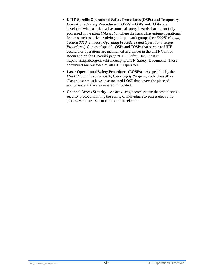- **• UITF-Specific Operational Safety Procedures (OSPs) and Temporary Operational Safety Procedures(TOSPs)** – OSPs and TOSPs are developed when a task involves unusual safety hazards that are not fully addressed in the *ES&H Manual* or where the hazard has unique operational features such as tasks involving multiple work groups (see *ES&H Manual, Section 3310, Standard Operating Procedures and Operational Safety Procedures*). Copies of specific OSPs and TOSPs that pertain to UITF accelerator operations are maintained in a binder in the UITF Control Room and on the CIS-wiki page "UITF Safety Documents:: https://wiki.jlab.org/ciswiki/index.php/UITF\_Safety\_Documents. These documents are reviewed by all UITF Operators.
- **• Laser Operational Safety Procedures (LOSPs)** As specified by the *ES&H Manual, Section 6410, Laser Safety Program*, each Class 3B or Class 4 laser must have an associated LOSP that covers the piece of equipment and the area where it is located.
- **• Channel Access Security** An active engineered system that establishes a security protocol limiting the ability of individuals to access electronic process variables used to control the accelerator.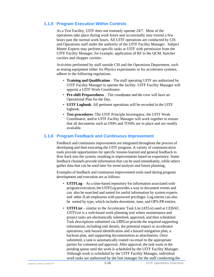#### <span id="page-15-0"></span>**1.1.5 Program Execution Within Controls**

As a Test Facility, UITF does not routinely operate 24/7. Most of the operations take place during work hours and occasionally may extend a few hours past the normal work hours. All UITF operations are conducted by CIS and Operations staff under the authority of the UITF Facility Manager. Subject Matter Experts may perform specific tasks at UITF with permission from the UITF Facility Manager, for example, application of RF to the QCM, buncher cavities and chopper cavities.

Activities performed by staff outside CIS and the Operations Department, such as testing equipment either for Physics experiments or for accelerator systems, adhere to the following regulations.

- **Training and Qualification** The staff operating UITF are authorized by UITF Facility Manager to operate the facility. UITF Facility Manager will appoint a UITF Work Coordinator.
- **Pre-shift Preparedness** The coordinator and the crew will have an Operational Plan for the Day,
- **UITF Logbook**: All pertinent operations will be recorded in the UITF logbook.
- **Test procedures**: The UITF Principle Investigator, the UITF Work Coordinator, and/or UITF Facility Manager will work together to ensure that all documents such as OSPs and TOSPs are in place and are readily available.

#### <span id="page-15-1"></span>**1.1.6 Program Feedback and Continuous Improvement**

Feedback and continuous improvement are integrated throughout the process of developing and then executing the UITF program. A variety of communication tools provide opportunities for specific lessons learned and general feedback to flow back into the system, resulting in improvements based on experience. Some feedback channels provide information that can be used immediately, while others gather data that can be used later for trend analysis and future planning.

Examples of feedback and continuous improvement tools used during program development and execution are as follows:

- **UITFLog** As a time-based repository for information associated with programexecution,the *UITFLog* provides a way to document events and can also be searched and sorted for useful information by system experts and other JLab employees with password privileges. Log entries can also be sorted by type, which includes downtime, tune, and OPS-PR entries.
- **UITFList –** similar to the Accelerator Task List (*ATLis*) used at CEBAF, *UITFList* is a web-based work planning tool where maintenance and project tasks are electronically submitted, approved, and then scheduled. Task descriptions submitted via *UITFList* provide the required supporting information, including task details, the potential impact to accelerator operations, task hazard identification and a hazard mitigation plan, a backout plan, and supporting documentation as attachments. Once submitted, a task is automatically routed via email to the appropriate parties for comment and approval. After approval, the task waits in the pending queue until the work is scheduled by the UITF Facility Manager. Although work is scheduled by the UITF Facility Manager, individual work tasks are authorized by the line manager for the staff conducting the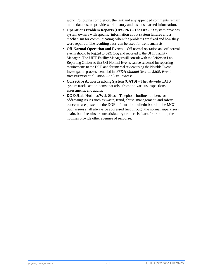work. Following completion, the task and any appended comments remain in the database to provide work history and lessons learned information.

- **Operations Problem Reports (OPS-PR)** The OPS-PR system provides system owners with specific information about system failures and a mechanism for communicating when the problems are fixed and how they were repaired. The resulting data can be used for trend analysis.
- **Off-Normal Operation and Events**  Off-normal operation and off-normal events should be logged to *UITFLog* and reported to the UITF Facility Manager. The UITF Facility Manager will consult with the Jefferson Lab Reporting Officer so that Off-Normal Events can be screened for reporting requirements to the DOE and for internal review using the Notable Event Investigation process identified in *ES&H Manual Section 5200, Event Investigation and Causal Analysis Process.*
- **Corrective Action Tracking System (CATS)** The lab-wide CATS system tracks action items that arise from the various inspections, assessments, and audits.
- **DOE/JLab Hotlines/Web Sites** Telephone hotline numbers for addressing issues such as waste, fraud, abuse, management, and safety concerns are posted on the DOE information bulletin board in the MCC. Such issues shall always be addressed first through the normal supervisory chain, but if results are unsatisfactory or there is fear of retribution, the hotlines provide other avenues of recourse.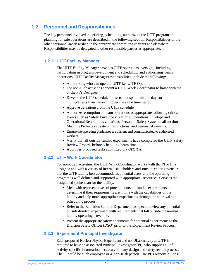#### <span id="page-17-0"></span>**1.2 Personnel and Responsibilities**

The key personnel involved in defining, scheduling, authorizing the UITF program and planning for safe operations are described in the following section. Responsibilities of the other personnel are described in the appropriate committee charters and elsewhere. Responsibilities may be delegated to other responsible parties as appropriate.

#### **1.2.1 UITF Facility Manager**

The UITF Facility Manager provides UITF operations oversight, including participating in program development and scheduling, and authorizing beam operations. UITF Facility Manager responsibilities include the following:

- Authorizing who can operate UITF i.e. UITF Operator
- For non-JLab activities appoint a UITF Work Coordinator to liaise with the PI or the PI's Designee.
- Develop the UITF schedule for tests that span multiple days or multiple tests than can occur over the same time period
- Approve deviations from the UITF schedule*.*
- Authorize resumption of beam operations as appropriate following critical events such as Safety Envelope violations, Operations Envelope and Operational Restrictions violations, Personnel Safety System malfunctions, Machine Protection System malfunctions, and beam-strike events.
- Ensure the operating guidelines are current and communicated to authorized workers.
- Verify that all outside-funded experiments have completed the UITF Safety Review Process before scheduling beam time.
- Approves proposed tasks submitted via *UITFList*

#### <span id="page-17-1"></span>**1.2.2 UITF Work Coordinator**

For non-JLab activities, the UITF Work Coordinator works with the PI or PI's designee and with a variety of internal stakeholders and outside entitiesto ensure that the UITF facility best accommodates potential users and the operating program is well defined and supported with appropriate resources. Serve as the designated spokesman for the facility.

- Meet with representatives of potential outside-funded experiments to determine if their requirements are in line with the capabilities of the facility and help move appropriate experiments through the approval and scheduling process.
- Refer to the Radiation Control Department for special review any potential outside-funded experiment with requirements that fall outside the normal facility operating envelope.
- Present the appropriate safety documents for potential experiments to the Division Safety Officer (DSO) prior to the Experiment Review Process.

#### <span id="page-17-2"></span>**1.2.3 Experiment Principal Investigator**

Each proposed Nuclear Physics Experiment and non-JLab activity at UITF is required to have an associated Principal Investigator (PI), who supplies all of activity-specific information necessary for any design and safety review process. The PI could be a lab employee or a non-JLab person. The PI's responsibilities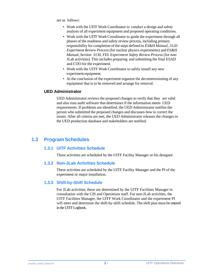are as follows:

- Work with the UITF Work Coordinator to conduct a design and safety analysis of all experiment equipment and proposed operating conditions.
- Work with the UITF Work Coordinator to guide the experiment through all phases of the readiness and safety review process, including primary responsibility for completion of the steps defined in *ES&H Manual, 3120 Experiment Review Process* (for nuclear physics experiments) and *ES&H Manual, Section 3130, FEL Experiment Safety Review Process* (for non-JLab activities)*.* This includes preparing and submitting the final ESAD and COO for the experiment*.*
- Work with the UITF Work Coordinator to safely install any new experiment equipment.
- At the conclusion of the experiment organize the decommissioning of any equipment that is to be removed and arrange for removal.

#### <span id="page-18-0"></span>**UED Administrator**

UED Administrator reviews the proposed changes to verify that they are valid and also runs audit software that determines if the information meets UED requirements. If problems are identified, the UED Administrator notifies the person who submitted the proposed changes and discusses how to correct the issues. After all criteria are met, the UED Administrator releases the changes to the UED production database and stakeholders are notified.

#### <span id="page-18-2"></span><span id="page-18-1"></span>**1.3 Program Schedules**

#### **1.3.1 UITF Activities Schedule**

These activities are scheduled by the UITF Facility Manager or his designee.

#### <span id="page-18-3"></span>**1.3.2 Non-JLab Activities Schedule**

These activities are scheduled by the UITF Facility Manager and the PI of the experiment or major installation.

#### **1.3.3 Shift-by-Shift Schedule**

For JLab activities, these are determined by the UITF Facilities Manager in consultation with the CIS and Operations staff. For non-JLab activities, the UITF Facilities Manager, the UITF Work Coordinator and the experiment PI will meet and determine the shift-by-shift schedule. The shift plan must be entered in the UITF Logbook.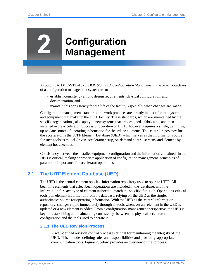## <span id="page-19-2"></span>**Configuration Management**

According to DOE-STD-1073, *DOE Standard, Configuration Management*, the basic objectives of a configuration management system are to

- establish consistency among design requirements, physical configuration, and documentation, and
- maintain this consistency for the life of the facility, especially when changes are made.

Configuration management standards and work practices are already in place for the systems and equipment that make up the UITF facility. These standards, which are maintained by the specific organizations, also apply to new systems that are designed, fabricated, and then installed in the accelerator. Successful operation of UITF, however, requires a single, definitive, up-to-date source of operating information for beamline elements. This central repository for the accelerator is the UITF Element Database (UED), which serves as the information source for such tools as model-driven accelerator setup, on-demand control screens, and element-byelement hot checkout.

Consistency between the installed equipment configuration and the information contained in the UED is critical, making appropriate application of configuration management principles of paramount importance for accelerator operations.

#### <span id="page-19-0"></span>**2.1 The UITF Element Database (UED)**

The UED is the central element-specific information repository used to operate UITF. All beamline elements that affect beam operations are included in the database, with the information for each type of element tailored to match the specific function. Operations-critical tools pull element information from the database, relying on the UED as the single, authoritative source for operating information. With the UED as the central information repository, changes ripple immediately through all tools whenever an element in the UED is updated or a new element is added. From a configuration management perspective, the UED is key for establishing and maintaining consistency between the physical accelerator configuration and the tools used to operate it

#### <span id="page-19-1"></span>**2.1.1 The UED Revision Process**

A well-defined revision control process is critical for maintaining the integrity of the UED. This includes defining roles and responsibilities and providing appropriate communication tools. [Figure](#page-21-3) 2, below, provides an overview of the process.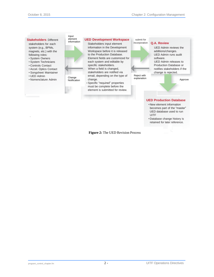#### **Stakeholders** Different

stakeholders for each system (e.g., BPMs, magnets, etc.) with the following roles:

- System Owners
- System Technicians
- Controls Contact
- Accel. Optics Contact
- Songsheet Maintainer
- UED Admin

.

• Nomenclature Admin

Input element information



#### **UED Development Workspace**

- Stakeholders input element Element fields are customized for information in the Development Workspace before it is released to the Production Database. each system and editable by specific stakeholders. When a field is changed, stakeholders are notified via email, depending on the type of change.
- Specific "required" properties must be complete before the element is submitted for review.

<sub>'</sub><br>Reject with approv submit for<br>incorporation incorporation **Q.A. Review** UED Admin reviews the additions/changes. UED Admin runs audit software. UED Admin releases to Production Database or notifies stakeholders if the change is rejected. **UED Production Database** explanation Approve

- New element information becomes part of the "master" UED database used to run UITF
- Database change history is retained for later reference.

**Figure 2:** The UED Revision Process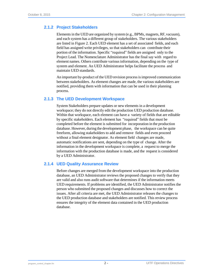#### <span id="page-21-3"></span><span id="page-21-0"></span>**2.1.2 Project Stakeholders**

Elements in the UED are organized by system (e.g., BPMs, magnets, RF, vacuum), and each system has a different group of stakeholders. The various stakeholders are listed in Figure 2. Each UED element has a set of associated fields, and each field has assigned write privileges, so that stakeholders can contribute their portion of the information. Specific "required" fields are assigned only to the Project Lead. The Nomenclature Administrator has the final say with regard to element names. Others contribute variousinformation, depending on the type of system and element. An UED Administrator helps facilitate the process and maintain UED standards.

An important by-product of the UED revision processisimproved communication between stakeholders. As element changes are made, the various stakeholders are notified, providing them with information that can be used in their planning process.

#### <span id="page-21-1"></span>**2.1.3 The UED Development Workspace**

System Stakeholders prepare updates or new elements in a development workspace; they do not directly edit the production UED production database. Within that workspace, each element can have a variety of fields that are editable by specific stakeholders. Each element has "required" fields that must be completed before the element is submitted for incorporation in the production database. However, during the development phase, the workspace can be quite freeform, allowing stakeholders to add and remove fields and even proceed without a final element designator. As element field changes are made, automatic notifications are sent, depending on the type of change. After the information in the development workspace is complete, a request to merge the information with the production database is made, and the request is considered by a UED Administrator.

#### <span id="page-21-2"></span>**2.1.4 UED Quality Assurance Review**

Before changes are merged from the development workspace into the production database, an UED Administrator reviews the proposed changes to verify that they are valid and also runs audit software that determines if the information meets UED requirements. If problems are identified, the UED Administrator notifies the person who submitted the proposed changes and discusses how to correct the issues. After all criteria are met, the UED Administrator releases the changes to the UED production database and stakeholders are notified. This review process ensures the integrity of the element data contained in the UED production database.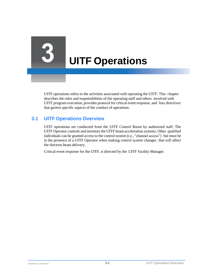## **UITF Operations**

UITF operations refers to the activities associated with operating the UITF. This chapter describes the roles and responsibilities of the operating staff and others involved with UITF program execution, provides protocol for critical event response, and lists directives that govern specific aspects of the conduct of operations.

#### <span id="page-22-0"></span>**3.1 UITF Operations Overview**

UITF operations are conducted from the UITF Control Room by authorized staff. The UITF Operator controls and monitors the UITF beam acceleration systems. Other qualified individuals can be granted access to the control system (i.e., "channel access") but must be in the presence of a UITF Operator when making control system changes that will affect the electron beam delivery.

Critical event response for the UITF, is directed by the UITF Facility Manager.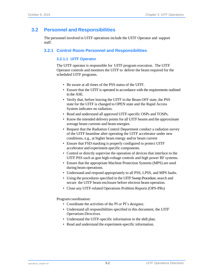#### <span id="page-23-1"></span><span id="page-23-0"></span>**3.2 Personnel and Responsibilities**

The personnel involved in UITF operations include the UITF Operator and support staff.

#### **3.2.1 Control Room Personnel and Responsibilities**

#### **3.2.1.1 UITF Operator**

The UITF operator is responsible for UITF program execution. The UITF Operator controls and monitors the UITF to deliver the beam required for the scheduled UITF programs.

- Be aware at all times of the PSS status of the UITF.
- Ensure that the UITF is operated in accordance with the requirements outlined in the ASE.
- Verify that, before leaving the UITF in the Beam OFF state, the PSS state for the UITF is changed to OPEN state and the Rapid Access System indicates no radiation.
- Read and understand all approved UITF-specific OSPs and TOSPs.
- Know the intended delivery points for all UITF beams and the approximate average beam currents and beam energies.
- Request that the Radiation Control Department conduct a radiation survey of the UITF beamline after operating the UITF accelerator under new conditions, e.g., at higher beam energy and/or beam current
- Ensure that FSD masking is properly configured to protect UITF accelerator and experiment-specific components.
- Control or directly supervise the operation of devices that interface to the UITF PSS such as gun high-voltage controls and high power RF systems.
- Ensure that the appropriate Machine Protection Systems (MPS) are used during beam operations.
- Understand and respond appropriately to all PSS, LPSS, and MPS faults.
- Using the procedures specified in the UITF Sweep Procedure*,*search and secure the UITF beam enclosure before electron beam operation*.*
- Close any UITF-related Operations Problem Reports (OPS-PRs)

Programcoordination:

- Coordinate the activities of the PI or PI's designee.
- Understand all responsibilities specified in this document, the *UITF Operations Directives*.
- Understand the UITF-specific information in the shift plan.
- Read and understand the experiment-specific information.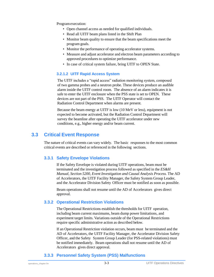Programexecution:

- Open channel access as needed for qualified individuals.
- Read all UITF beam plans listed in the Shift Plan
- Monitor beam quality to ensure that the beam specifications meet the program goals.
- Monitor the performance of operating accelerator systems.
- Measure and adjust accelerator and electron beam parameters according to approved procedures to optimize performance.
- In case of critical system failure, bring UITF to OPEN State.

#### **3.2.1.2 UITF Rapid Access System**

The UITF includes a "rapid access" radiation monitoring system, composed of two gamma probes and a neutron probe. These devices produce an audible alarm inside the UITF control room. The absence of an alarm indicates it is safe to enter the UITF enclosure when the PSS state is set to OPEN. These devices are not part of the PSS. The UITF Operator will contact the Radiation Control Department when alarms are present.

Because the beam energy at UITF is low (10 MeV or less), equipment is not expected to become activated, but the Radiation Control Department will survey the beamline after operating the UITF accelerator under new conditions, e.g., higher energy and/or beam current.

#### <span id="page-24-0"></span>**3.3 Critical Event Response**

The nature of critical events can vary widely. The basic responses to the most common critical events are described or referenced in the following sections.

#### <span id="page-24-1"></span>**3.3.1 Safety Envelope Violations**

If the Safety Envelope is violated during UITF operations, beam must be terminated and the investigation process followed as specified in the *ES&H Manual, Section 5200, Event Investigation and Causal Analysis Process.* The AD of Accelerators, the UITF Facility Manager, the Safety System Group Leader, and the Accelerator Division Safety Officer must be notified as soon as possible.

Beam operations shall not resume until the AD of Accelerators gives direct approval.

#### <span id="page-24-2"></span>**3.3.2 Operational Restriction Violations**

The Operational Restrictions establish the thresholds for UITF operation, including beam current maximums, beam dump power limitations, and experiment target limits. Variations outside of the Operational Restrictions require specific administrative action as described below.

If an Operational Restriction violation occurs, beam must be terminated and the AD of Accelerators, the UITF Facility Manager, the Accelerator Division Safety Officer, and the Safety System Group Leader (for PSS-related violations) must be notified immediately. Beam operations shall not resume until the AD of Accelerators gives direct approval.

#### <span id="page-24-3"></span>**3.3.3 Personnel Safety System (PSS) Malfunctions**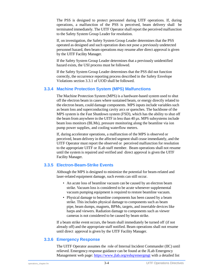The PSS is designed to protect personnel during UITF operations. If, during operations, a malfunction of the PSS is perceived, beam delivery shall be terminated immediately. The UITF Operatorshall report the perceived malfunction to the Safety System Group Leader for resolution.

If, on investigation, the Safety System Group Leader determines that the PSS operated as designed and such operation does not pose a previously undetected personnel hazard, then beam operations may resume after direct approval is given by the UITF Facility Manager.

If the Safety System Group Leader determines that a previously unidentified hazard exists, the USI process must be followed.

If the Safety System Group Leader determines that the PSS did not function correctly, the occurrence reporting process described in the Safety Envelope Violations section 3.3.1 of UOD shall be followed.

#### <span id="page-25-0"></span>**3.3.4 Machine Protection System (MPS) Malfunctions**

The Machine Protection System (MPS) is a hardware-based system used to shut off the electron beam in cases where sustained beam, or energy directly related to the electron beam, could damage components. MPS inputs include variables such as beam loss and superconducting cavity arcs or quenches. The backbone of the MPS system is the Fast Shutdown system (FSD), which has the ability to shut off the beam from anywhere in the UITF in less than 40 µs. MPS subsystems include beam loss monitors (BLMs), pressure monitoring along the beamline via ion pump power supplies, and cooling waterflow meters.

If, during accelerator operations, a malfunction of the MPS is observed or perceived, beam delivery in the affected segment shall cease immediately, and the UITF Operator must report the observed or perceived malfunction for resolution to the appropriate UITF or JLab staff member. Beam operations shall not resume until the system is repaired and verified and direct approval is given the UITF Facility Manager.

#### <span id="page-25-1"></span>**3.3.5 Electron-Beam-Strike Events**

Although the MPS is designed to minimize the potential for beam-related and laser-related equipment damage, such events can still occur.

- An acute loss of beamline vacuum can be caused by an electron beam strike. Vacuum loss is considered to be acute whenever supplemental vacuum pumping equipment is required to restore beamline vacuum.
- Physical damage to beamline components has been caused by a beam strike. This includes physical damage to components such as beam pipe, beam dumps, magnets, BPMs, targets, and insertable devices like harps and viewers. Radiation damage to components such as viewer cameras is not considered to be caused by beam strike.

If a beam strike event occurs, the beam shall immediately be turned off (if not already off) and the appropriate staff notified. Beam operations shall not resume until direct approval is given by the UITF Facility Manager.

#### <span id="page-25-2"></span>**3.3.6 Emergency Response**

The UITF Operator assumes the role of Internal Incident Commander (IIC) until relieved. Emergency response guidance can be found at the JLab Emergency Management web page[: https://www.jlab.org/eshq/emergmgt](https://www.jlab.org/eshq/emergmgt) with a detailed list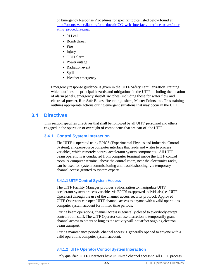of Emergency Response Procedures for specific topics listed below found at: [http://opsntsrv.acc.jlab.org/ops\\_docs/MCC\\_web\\_interface/interface\\_pages/oper](http://opsntsrv.acc.jlab.org/ops_docs/MCC_web_interface/interface_pages/operating_procedures.asp) [ating\\_procedures.asp:](http://opsntsrv.acc.jlab.org/ops_docs/MCC_web_interface/interface_pages/operating_procedures.asp)

- 911 call
- Bomb threat
- Fire
- Injury
- ODH alarm
- Power outage
- Radiation event
- Spill
- Weather emergency

Emergency response guidance is given in the UITF Safety Familiarization Training which outlines the principal hazards and mitigations in the UITF including the locations of alarm panels, emergency shutoff switches (including those for water flow and electrical power), Run Safe Boxes, fire extinguishers, Muster Points, etc. This training outlines appropriate actions during emergent situations that may occur in the UITF.

#### <span id="page-26-1"></span><span id="page-26-0"></span>**3.4 Directives**

This section specifies directives that shall be followed by all UITF personnel and others engaged in the operation or oversight of components that are part of the UITF.

#### **3.4.1 Control System Interaction**

The UITF is operated using EPICS (Experimental Physics and Industrial Control System), an open-source computer interface that reads and writes to process variables, which remotely control accelerator system components. All UITF beam operations is conducted from computer terminal inside the UITF control room. A computer terminal above the control room, near the electronics racks, can be used for system commissioning and troubleshooting, via temporary channel access granted to system experts.

#### **3.4.1.1 UITF Control System Access**

The UITF Facility Manager provides authorization to manipulate UITF accelerator system process variables via EPICS to approved individuals (i.e., UITF Operators) through the use of the channel access security protocol. Approved UITF Operators can open UITF channel access to anyone with a valid operations computer system account for limited time periods.

During beam operations, channel access is generally closed to everybody except control room staff. The UITF Operator can use discretion to temporarily grant channel accessto others so long as the activity will not affect ongoing electron beam transport.

During maintenance periods, channel access is generally opened to anyone with a valid operations computer system account.

#### **3.4.1.2 UITF Operator Control System Interaction**

Only qualified UITF Operators have unlimited channel access to all UITF process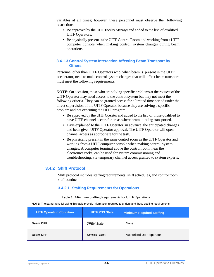variables at all times; however, these personnel must observe the following restrictions.

- Be approved by the UITF Facility Manager and added to the list of qualified UITF Operators.
- Be physically present in the UITF Control Room and working from a UITF computer console when making control system changes during beam operations.

#### **3.4.1.3 Control System Interaction Affecting Beam Transport by Others**

Personnel other than UITF Operators who, when beam is present in the UITF accelerator, need to make control system changes that will affect beam transport, must meet the following requirements.

**NOTE:** On occasion, those who are solving specific problems at the request of the UITF Operator may need access to the control system but may not meet the following criteria. They can be granted access for a limited time period under the direct supervision of the UITF Operator because they are solving a specific problem and not executing the UITF program.

- Be approved by the UITF Operator and added to the list of those qualified to have UITF channel access for areas where beam is being transported.
- Have explained to the UITF Operator, in advance, the anticipated changes and been given UITF Operator approval. The UITF Operator will open channel access as appropriate for the task.
- Be physically present in the same control room as the UITF Operator and working from a UITF computer console when making control system changes. A computer terminal above the control room, near the electronics racks, can be used for system commissioning and troubleshooting, via temporary channel access granted to system experts.

#### <span id="page-27-0"></span>**3.4.2 Shift Protocol**

Shift protocol includes staffing requirements, shift schedules, and control room staff conduct.

#### **3.4.2.1 Staffing Requirements for Operations**

#### **Table 3:** Minimum Staffing Requirements for UITF Operations

<span id="page-27-1"></span>**NOTE:** The paragraphs following this table provide information required to understand these staffing requirements.

| <b>UITF Operating Condition</b> | <b>UITF PSS State</b> | Minimum Required Staffing |
|---------------------------------|-----------------------|---------------------------|
| <b>Beam OFF</b>                 | <b>OPEN State</b>     | None                      |
| <b>Beam OFF</b>                 | <b>SWEEP State</b>    | Authorized UITF operator  |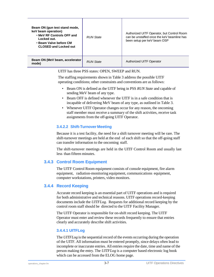| Beam ON (gun test stand mode,<br>keV beam operation)<br>. MeV RF Controls OFF and<br>Locked out.<br>• Beam Valve before CM<br><b>CLOSED and Locked out</b> | <b>RUN</b> State | Authorized UITF Operator, but Control Room<br>can be unstaffed once the keV beamline has<br>been setup per keV beam OSP |
|------------------------------------------------------------------------------------------------------------------------------------------------------------|------------------|-------------------------------------------------------------------------------------------------------------------------|
| Beam ON (MeV beam, accelerator<br>mode)                                                                                                                    | <b>RUN</b> State | <b>Authorized UITF Operator</b>                                                                                         |

UITF has three PSS states: OPEN, SWEEP and RUN.

The staffing requirements shown in [Table](#page-27-1) 3 address the possible UITF operating conditions; other constraints and conventions are as follows:

- Beam ON is defined as the UITF being in PSS *RUN State* and capable of sending MeV beam of any type.
- Beam OFF is defined whenever the UITF is in a safe condition that is incapable of delivering MeV beam of any type, as outlined in Table 3.
- Whenever UITF Operator changes occur for any reason, the oncoming staff member must receive a summary of the shift activities, receive task assignments from the off-going UITF Operator.

#### **3.4.2.2 Shift-Turnover Meeting**

Because it is a test facility, the need for a shift turnover meeting will be rare. The shift-turnover meetings are held at the end of each shift so that the off-going staff can transfer information to the oncoming staff.

The shift-turnover meetings are held in the UITF Control Room and usually last less than fifteen minutes.

#### <span id="page-28-0"></span>**3.4.3 Control Room Equipment**

The UITF Control Room equipment consists of console equipment, fire alarm equipment, radiation-monitoring equipment, communications equipment, computer workstations, printers, video monitors.

#### <span id="page-28-1"></span>**3.4.4 Record Keeping**

Accurate record keeping is an essential part of UITF operations and is required for both administrative and technical reasons. UITF operations record-keeping documents include the *UITFLog*. Requests for additional record keeping by the control room staff should be directed to the UITF Facility Manager.

The UITF Operator is responsible for on-shift record keeping. The UITF Operator must enter and review these records frequently to ensure that entries clearly and accurately describe shift activities.

#### **3.4.4.1 UITFLog**

The *UITFLog* is the sequential record of the events occurring during the operation of the UITF. All information must be entered promptly, since delays often lead to incomplete or inaccurate entries. All entries require the date, time and name of the person making the entry. The *UITFLog* is a computer based electronic log book which can be accessed from the ELOG home page.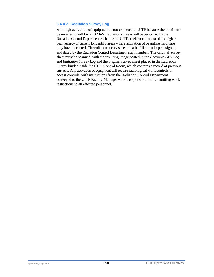#### **3.4.4.2 Radiation Survey Log**

Although activation of equipment is not expected at UITF because the maximum beam energy will be  $\sim 10$  MeV, radiation surveys will be performed by the Radiation Control Department each time the UITF accelerator is operated at a higher beam energy or current, to identify areas where activation of beamline hardware may have occurred. The radiation survey sheet must be filled out in pen, signed, and dated by the Radiation Control Department staff member. The original survey sheet must be scanned, with the resulting image posted in the electronic *UITFLog* and *Radiation Survey Log* and the original survey sheet placed in the Radiation Survey binder inside the UITF Control Room, which contains a record of previous surveys. Any activation of equipment will require radiological work controls or access controls, with instructions from the Radiation Control Department conveyed to the UITF Facility Manager who is responsible for transmitting work restrictions to all effected personnel.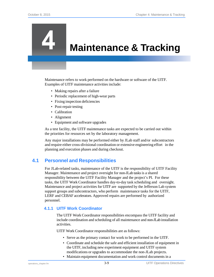## <span id="page-30-3"></span><span id="page-30-2"></span>**Maintenance & Tracking**

Maintenance refers to work performed on the hardware or software of the UITF. Examples of UITF maintenance activities include:

- Making repairs after a failure
- Periodic replacement of high-wear parts
- Fixing inspection deficiencies
- Post-repair testing
- Calibration
- Alignment
- Equipment and software upgrades

As a test facility, the UITF maintenance tasks are expected to be carried out within the priorities for resources set by the laboratory management.

Any major installations may be performed either by JLab staff and/or subcontractors and require either cross-divisional coordination or extensive engineering effort in the planning and execution phases and during checkout.

#### <span id="page-30-0"></span>**4.1 Personnel and Responsibilities**

For JLab-related tasks, maintenance of the UITF is the responsibility of UITF Facility Manager. Maintenance and project oversight for non-JLab tasksis a shared responsibility between the UITF Facility Manager and the project's PI. For these tasks, the UITF Work Coordinator handles day-to-day task scheduling and oversight. Maintenance and project activities for UITF are supported by the Jefferson Lab system support groups and subcontractors, who perform maintenance tasks for the UITF, LERF and CEBAF accelerators. Approved repairs are performed by authorized personnel.

#### <span id="page-30-1"></span>**4.1.1 UITF Work Coordinator**

The UITF Work Coordinator responsibilities encompass the UITF facility and include coordination and scheduling of all maintenance and non-JLab installation activities.

UITF Work Coordinator responsibilities are as follows:

- Serve as the primary contact for work to be performed in the UITF.
- Coordinate and schedule the safe and efficient installation of equipment in the UITF, including new experiment equipment and UITF system modifications or upgrades to accommodate the non-JLab projects.
- Maintain equipment documentation and work control documents in a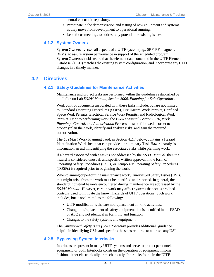central electronic repository.

- Participate in the demonstration and testing of new equipment and systems as they move from development to operational running.
- Lead focus meetings to address any potential or existing issues.

#### <span id="page-31-0"></span>**4.1.2 System Owners**

System Owners oversee all aspects of a UITF system (e.g., SRF, RF, magnets, BPMs) to assure system performance in support of the scheduled program. System Owners should ensure that the element data contained in the UITF Element Database (UED) matches the existing system configuration, and incorporate any UED changes in a timely manner.

#### <span id="page-31-2"></span><span id="page-31-1"></span>**4.2 Directives**

#### **4.2.1 Safety Guidelines for Maintenance Activities**

Maintenance and project tasks are performed within the guidelines established by the Jefferson Lab *ES&H Manual, Section 3000, Planning for Safe Operations.*

Work control documents associated with these tasks include, but are not limited to, Standard Operating Procedures (SOPs), Fire Hazard Work Permits, Confined Space Work Permits, Electrical Service Work Permits, and Radiological Work Permits. Prior to performing work, the *ES&H Manual, Section 3210, Work Planning, Control, and Authorization Process* must be followed in order to properly plan the work, identify and analyze risks, and gain the required authorization.

The *UITFList* Work Planning Tool, in Section 4.2.7 below, contains a Hazard Identification Worksheet that can provide a preliminary Task Hazard Analysis information an aid in identifying the associated risks while planning work.

If a hazard associated with a task is not addressed by the *ES&H Manual*, then the hazard is considered unusual, and specific written approval in the form of Operating Safety Procedures (OSPs) or Temporary Operating Safety Procedures (TOSPs) is required prior to beginning the work.

When planning or performing maintenance work, Unreviewed Safety Issues(USIs) that might arise from the work must be identified and reported. In general, the standard industrial hazards encountered during maintenance are addressed by the *ES&H Manual.* However, certain work may affect systems that act as credited controls used to mitigate the known hazards of UITF operations. Such work includes, but is not limited to the following:

- UITF modifications that are not replacement-in-kind activities.
- Change-out/replacement of safety equipment that is identified in the FSAD or ASE and not identical in form, fit, and function.
- Changes to the safety systems and equipment.

The *Unreviewed Safety Issue (USI) Procedure* providesadditional guidance helpful in identifying USIs and specifies the steps required to address any USI.

#### <span id="page-31-3"></span>**4.2.5 Bypassing System Interlocks**

Interlocks are present in many UITF systems and serve to protect personnel, equipment, or both. Interlocks constrain the operation of equipment in some fashion, either electronically or mechanically. Interlocks found in the UITF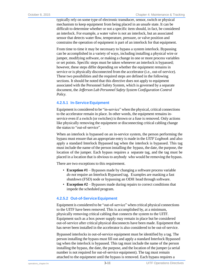typically rely on some type of electronic transducer, sensor, switch or physical mechanism to keep equipment from being placed in an unsafe state. It can be difficult to determine whether or not a specific item should, in fact, be considered an interlock. For example, a water valve is not an interlock, but an associated sensor that detects water flow, temperature, pressure, or valve position and constrains the operation of equipment *is* part of an interlock for that equipment.

From time to time it may be necessary to bypass a system interlock. Bypassing can be accomplished in a variety of ways, including installing a physical wire or jumper, modifying software, or making a change in one or more process variables or set points. Specific steps must be taken whenever an interlock is bypassed; however, these steps differ depending on whether the equipment remains in service or is physically disconnected from the accelerator (i.e., out-of-service). These two possibilities and the required steps are defined in the following sections. It should be noted that this directive does not apply to equipment associated with the Personnel Safety System, which is governed by a separate document, the *Jefferson Lab Personnel Safety System Configuration Control Policy.*

#### **4.2.5.1 In-Service Equipment**

Equipment is considered to be "in-service" when the physical, critical connections to the accelerator remain in place. In other words, the equipment remains inservice even if a switch (or switches) is thrown or a fuse is removed. Only actions like physically removing the equipment or disconnecting critical cabling change the status to "out-of-service".

When an interlock is bypassed on an in-service system, the person performing the bypass must ensure that an appropriate entry is made in the *UITF Logbook* and also apply a standard Interlock Bypassed tag when the interlock is bypassed. This tag must include the name of the person installing the bypass, the date, the purpose, the location of the jumper. Each bypass requires a separate tag, and the tag must be placed in a location that is obvious to anybody who would be removing the bypass.

There are two exceptions to this requirement.

- **Exception #1** Bypasses made by changing a software process variable *do not* require an Interlock Bypassed tag. Examples are masking a fast shutdown (FSD) node or bypassing an ODH head through software.
- **Exception #2** Bypasses made during repairs to correct conditions that impede the scheduled program.

#### **4.2.5.2 Out-of-ServiceEquipment**

Equipment is considered to be "out-of-service" when critical physical connections to the UITF have been removed. This is accomplished by, at a minimum, physically removing critical cabling that connects the system to the UITF. Equipment such as a box power supply may remain in place but be considered out-of-service after critical physical disconnects have been made. Equipment that has never been installed in the accelerator is also considered to be out-of-service.

Bypassed interlocks in out-of-service equipment must be identified by a tag*.* The person installing the bypass must fill out and apply a standard Interlock Bypassed tag when the interlock is bypassed. This tag must include the name of the person installing the bypass, the date, the purpose, and the location of the jumper (a serial number is not required for out-of-service equipment). The tag must remain attached to the equipment until the bypass is removed. Each bypass requires a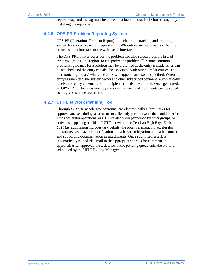separate tag, and the tag must be placed in a location that is obvious to anybody installing the equipment.

#### <span id="page-33-0"></span>**4.2.6 OPS-PR Problem Reporting System**

OPS-PR (Operations Problem Report) is an electronic tracking and reporting system for corrective action requests. OPS-PR entries are made using either the control screen interface or the web-based interface.

The OPS-PR initiator describes the problem and also selects from the lists of systems, groups, and regions to categorize the problem. For some common problems, guidance for a solution may be presented asthe entry is made. Files can be attached, and the entry can also be associated with other similar entries. The electronic logbook(s) where the entry will appear can also be specified. When the entry is submitted, the system owner and other subscribed personnel automatically receive the entry via email; other recipients can also be entered. Once generated, an OPS-PR can be reassigned by the system owner and comments can be added as progress is made toward resolution.

#### **4.2.7 UITFList Work Planning Tool**

Through *UITFList*, accelerator personnel can electronically submit tasks for approval and scheduling, as a means to efficiently perform work that could interfere with accelerator operations, or UITF-related work performed by other groups, or activities happening outside of UITF but within the Test Lab High Bay. Each *UITFList* submission includes task details, the potential impact to accelerator operations, task hazard identification and a hazard mitigation plan, a backout plan, and supporting documentation as attachments. Once submitted, a task is automatically routed via email to the appropriate partiesfor comment and approval. After approval, the task waitsin the pending queue until the work is scheduled by the UITF Facility Manager.